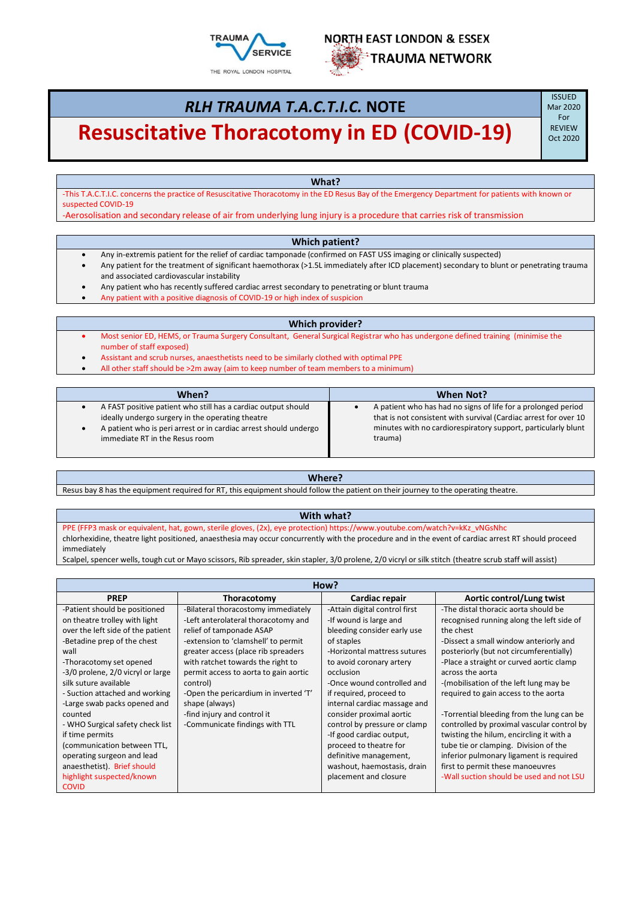



# *RLH TRAUMA T.A.C.T.I.C.* **NOTE**

# **Resuscitative Thoracotomy in ED (COVID-19)** SEVIEW

**ISSUED** Mar 2020 For<br>REVIEW

**What?**

-This T.A.C.T.I.C. concerns the practice of Resuscitative Thoracotomy in the ED Resus Bay of the Emergency Department for patients with known or suspected COVID-19

-Aerosolisation and secondary release of air from underlying lung injury is a procedure that carries risk of transmission

#### **Which patient?**

- Any in-extremis patient for the relief of cardiac tamponade (confirmed on FAST USS imaging or clinically suspected)
- Any patient for the treatment of significant haemothorax (>1.5L immediately after ICD placement) secondary to blunt or penetrating trauma and associated cardiovascular instability

• Any patient who has recently suffered cardiac arrest secondary to penetrating or blunt trauma

Any patient with a positive diagnosis of COVID-19 or high index of suspicion

#### **Which provider?**

- Most senior ED, HEMS, or Trauma Surgery Consultant, General Surgical Registrar who has undergone defined training (minimise the number of staff exposed)
- Assistant and scrub nurses, anaesthetists need to be similarly clothed with optimal PPE
- All other staff should be >2m away (aim to keep number of team members to a minimum)

| When?                                                                                                                                                                                                                   | When Not?                                                                                                                                                                                                     |  |
|-------------------------------------------------------------------------------------------------------------------------------------------------------------------------------------------------------------------------|---------------------------------------------------------------------------------------------------------------------------------------------------------------------------------------------------------------|--|
| A FAST positive patient who still has a cardiac output should<br>ideally undergo surgery in the operating theatre<br>A patient who is peri arrest or in cardiac arrest should undergo<br>immediate RT in the Resus room | A patient who has had no signs of life for a prolonged period<br>that is not consistent with survival (Cardiac arrest for over 10<br>minutes with no cardiorespiratory support, particularly blunt<br>trauma) |  |

#### **Where?**

Resus bay 8 has the equipment required for RT, this equipment should follow the patient on their journey to the operating theatre.

### **With what?**

PPE (FFP3 mask or equivalent, hat, gown, sterile gloves, (2x), eye protection) https://www.youtube.com/watch?v=kKz\_vNGsNhc chlorhexidine, theatre light positioned, anaesthesia may occur concurrently with the procedure and in the event of cardiac arrest RT should proceed immediately

Scalpel, spencer wells, tough cut or Mayo scissors, Rib spreader, skin stapler, 3/0 prolene, 2/0 vicryl or silk stitch (theatre scrub staff will assist)

| How?                              |                                       |                               |                                            |
|-----------------------------------|---------------------------------------|-------------------------------|--------------------------------------------|
| <b>PREP</b>                       | Thoracotomy                           | Cardiac repair                | Aortic control/Lung twist                  |
| -Patient should be positioned     | -Bilateral thoracostomy immediately   | -Attain digital control first | -The distal thoracic aorta should be       |
| on theatre trolley with light     | -Left anterolateral thoracotomy and   | -If wound is large and        | recognised running along the left side of  |
| over the left side of the patient | relief of tamponade ASAP              | bleeding consider early use   | the chest                                  |
| -Betadine prep of the chest       | -extension to 'clamshell' to permit   | of staples                    | -Dissect a small window anteriorly and     |
| wall                              | greater access (place rib spreaders   | -Horizontal mattress sutures  | posteriorly (but not circumferentially)    |
| -Thoracotomy set opened           | with ratchet towards the right to     | to avoid coronary artery      | -Place a straight or curved aortic clamp   |
| -3/0 prolene, 2/0 vicryl or large | permit access to aorta to gain aortic | occlusion                     | across the aorta                           |
| silk suture available             | control)                              | -Once wound controlled and    | -(mobilisation of the left lung may be     |
| - Suction attached and working    | -Open the pericardium in inverted 'T' | if required, proceed to       | required to gain access to the aorta       |
| -Large swab packs opened and      | shape (always)                        | internal cardiac massage and  |                                            |
| counted                           | -find injury and control it           | consider proximal aortic      | -Torrential bleeding from the lung can be  |
| - WHO Surgical safety check list  | -Communicate findings with TTL        | control by pressure or clamp  | controlled by proximal vascular control by |
| if time permits                   |                                       | -If good cardiac output,      | twisting the hilum, encircling it with a   |
| (communication between TTL,       |                                       | proceed to theatre for        | tube tie or clamping. Division of the      |
| operating surgeon and lead        |                                       | definitive management,        | inferior pulmonary ligament is required    |
| anaesthetist). Brief should       |                                       | washout, haemostasis, drain   | first to permit these manoeuvres           |
| highlight suspected/known         |                                       | placement and closure         | -Wall suction should be used and not LSU   |
| <b>COVID</b>                      |                                       |                               |                                            |